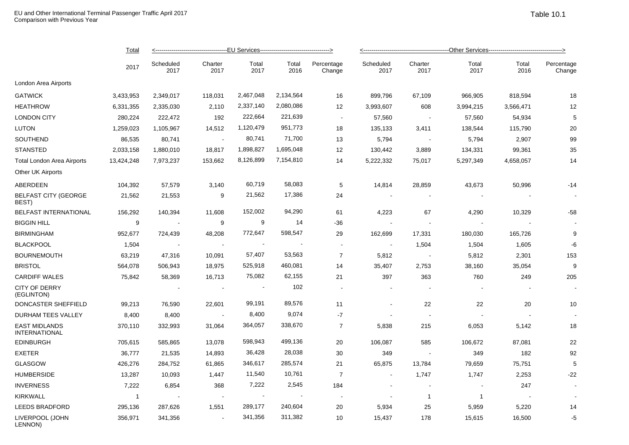|                                              | <b>Total</b><br>2017 | -------------------------------EU Services----------------------------------> |                            |                |               |                          | ----------------------------------Other Services---------------------------------> |                 |               |               |                      |  |
|----------------------------------------------|----------------------|-------------------------------------------------------------------------------|----------------------------|----------------|---------------|--------------------------|------------------------------------------------------------------------------------|-----------------|---------------|---------------|----------------------|--|
|                                              |                      | Scheduled<br>2017                                                             | Charter<br>2017            | Total<br>2017  | Total<br>2016 | Percentage<br>Change     | Scheduled<br>2017                                                                  | Charter<br>2017 | Total<br>2017 | Total<br>2016 | Percentage<br>Change |  |
| London Area Airports                         |                      |                                                                               |                            |                |               |                          |                                                                                    |                 |               |               |                      |  |
| <b>GATWICK</b>                               | 3,433,953            | 2,349,017                                                                     | 118,031                    | 2,467,048      | 2,134,564     | 16                       | 899,796                                                                            | 67,109          | 966,905       | 818,594       | 18                   |  |
| <b>HEATHROW</b>                              | 6,331,355            | 2,335,030                                                                     | 2,110                      | 2,337,140      | 2,080,086     | 12                       | 3,993,607                                                                          | 608             | 3,994,215     | 3,566,471     | 12                   |  |
| <b>LONDON CITY</b>                           | 280,224              | 222,472                                                                       | 192                        | 222,664        | 221,639       | $\sim$                   | 57,560                                                                             | $\sim$          | 57,560        | 54,934        | 5                    |  |
| <b>LUTON</b>                                 | 1,259,023            | 1,105,967                                                                     | 14,512                     | 1,120,479      | 951,773       | 18                       | 135,133                                                                            | 3,411           | 138,544       | 115,790       | 20                   |  |
| SOUTHEND                                     | 86,535               | 80,741                                                                        | $\sim$                     | 80,741         | 71,700        | 13                       | 5,794                                                                              | $\sim$          | 5,794         | 2,907         | 99                   |  |
| <b>STANSTED</b>                              | 2,033,158            | 1,880,010                                                                     | 18,817                     | 1,898,827      | 1,695,048     | 12                       | 130,442                                                                            | 3,889           | 134,331       | 99,361        | 35                   |  |
| Total London Area Airports                   | 13,424,248           | 7,973,237                                                                     | 153,662                    | 8,126,899      | 7,154,810     | 14                       | 5,222,332                                                                          | 75,017          | 5,297,349     | 4,658,057     | 14                   |  |
| Other UK Airports                            |                      |                                                                               |                            |                |               |                          |                                                                                    |                 |               |               |                      |  |
| ABERDEEN                                     | 104,392              | 57,579                                                                        | 3,140                      | 60,719         | 58,083        | 5                        | 14,814                                                                             | 28,859          | 43,673        | 50,996        | $-14$                |  |
| <b>BELFAST CITY (GEORGE</b><br>BEST)         | 21,562               | 21,553                                                                        | 9                          | 21,562         | 17,386        | 24                       |                                                                                    |                 |               |               |                      |  |
| BELFAST INTERNATIONAL                        | 156,292              | 140,394                                                                       | 11,608                     | 152,002        | 94,290        | 61                       | 4,223                                                                              | 67              | 4,290         | 10,329        | $-58$                |  |
| <b>BIGGIN HILL</b>                           | 9                    | $\sim$                                                                        | 9                          | 9              | 14            | $-36$                    |                                                                                    | $\blacksquare$  |               |               |                      |  |
| <b>BIRMINGHAM</b>                            | 952,677              | 724,439                                                                       | 48,208                     | 772,647        | 598,547       | 29                       | 162,699                                                                            | 17,331          | 180,030       | 165,726       | 9                    |  |
| <b>BLACKPOOL</b>                             | 1,504                | $\sim$                                                                        | $\mathcal{L}_{\mathbf{r}}$ | $\blacksquare$ |               | $\blacksquare$           | $\sim$                                                                             | 1,504           | 1,504         | 1,605         | $-6$                 |  |
| <b>BOURNEMOUTH</b>                           | 63,219               | 47,316                                                                        | 10,091                     | 57,407         | 53,563        | $\overline{7}$           | 5,812                                                                              | $\blacksquare$  | 5,812         | 2,301         | 153                  |  |
| <b>BRISTOL</b>                               | 564,078              | 506,943                                                                       | 18,975                     | 525,918        | 460,081       | 14                       | 35,407                                                                             | 2,753           | 38,160        | 35,054        | 9                    |  |
| <b>CARDIFF WALES</b>                         | 75,842               | 58,369                                                                        | 16,713                     | 75,082         | 62,155        | 21                       | 397                                                                                | 363             | 760           | 249           | 205                  |  |
| <b>CITY OF DERRY</b><br>(EGLINTON)           |                      |                                                                               | $\sim$                     |                | 102           | $\sim$                   |                                                                                    |                 |               |               |                      |  |
| DONCASTER SHEFFIELD                          | 99,213               | 76,590                                                                        | 22,601                     | 99,191         | 89,576        | 11                       |                                                                                    | 22              | 22            | 20            | 10                   |  |
| DURHAM TEES VALLEY                           | 8,400                | 8,400                                                                         | $\sim$                     | 8,400          | 9,074         | $-7$                     |                                                                                    | $\sim$          |               |               |                      |  |
| <b>EAST MIDLANDS</b><br><b>INTERNATIONAL</b> | 370,110              | 332,993                                                                       | 31,064                     | 364,057        | 338,670       | $\overline{7}$           | 5,838                                                                              | 215             | 6,053         | 5,142         | 18                   |  |
| <b>EDINBURGH</b>                             | 705,615              | 585,865                                                                       | 13,078                     | 598,943        | 499,136       | 20                       | 106,087                                                                            | 585             | 106,672       | 87,081        | 22                   |  |
| <b>EXETER</b>                                | 36,777               | 21,535                                                                        | 14,893                     | 36,428         | 28,038        | 30                       | 349                                                                                | $\sim$          | 349           | 182           | 92                   |  |
| <b>GLASGOW</b>                               | 426,276              | 284,752                                                                       | 61,865                     | 346,617        | 285,574       | 21                       | 65,875                                                                             | 13,784          | 79,659        | 75,751        | 5                    |  |
| <b>HUMBERSIDE</b>                            | 13,287               | 10,093                                                                        | 1,447                      | 11,540         | 10,761        | $\overline{7}$           | $\blacksquare$                                                                     | 1,747           | 1,747         | 2,253         | $-22$                |  |
| <b>INVERNESS</b>                             | 7,222                | 6,854                                                                         | 368                        | 7,222          | 2,545         | 184                      |                                                                                    | $\sim$          |               | 247           |                      |  |
| <b>KIRKWALL</b>                              | $\mathbf{1}$         | $\sim$                                                                        |                            |                |               | $\overline{\phantom{a}}$ |                                                                                    | $\overline{1}$  | $\mathbf{1}$  |               |                      |  |
| LEEDS BRADFORD                               | 295,136              | 287,626                                                                       | 1,551                      | 289,177        | 240,604       | 20                       | 5,934                                                                              | 25              | 5,959         | 5,220         | 14                   |  |
| LIVERPOOL (JOHN<br>LENNON)                   | 356,971              | 341,356                                                                       | $\sim$                     | 341,356        | 311,382       | 10                       | 15,437                                                                             | 178             | 15,615        | 16,500        | -5                   |  |